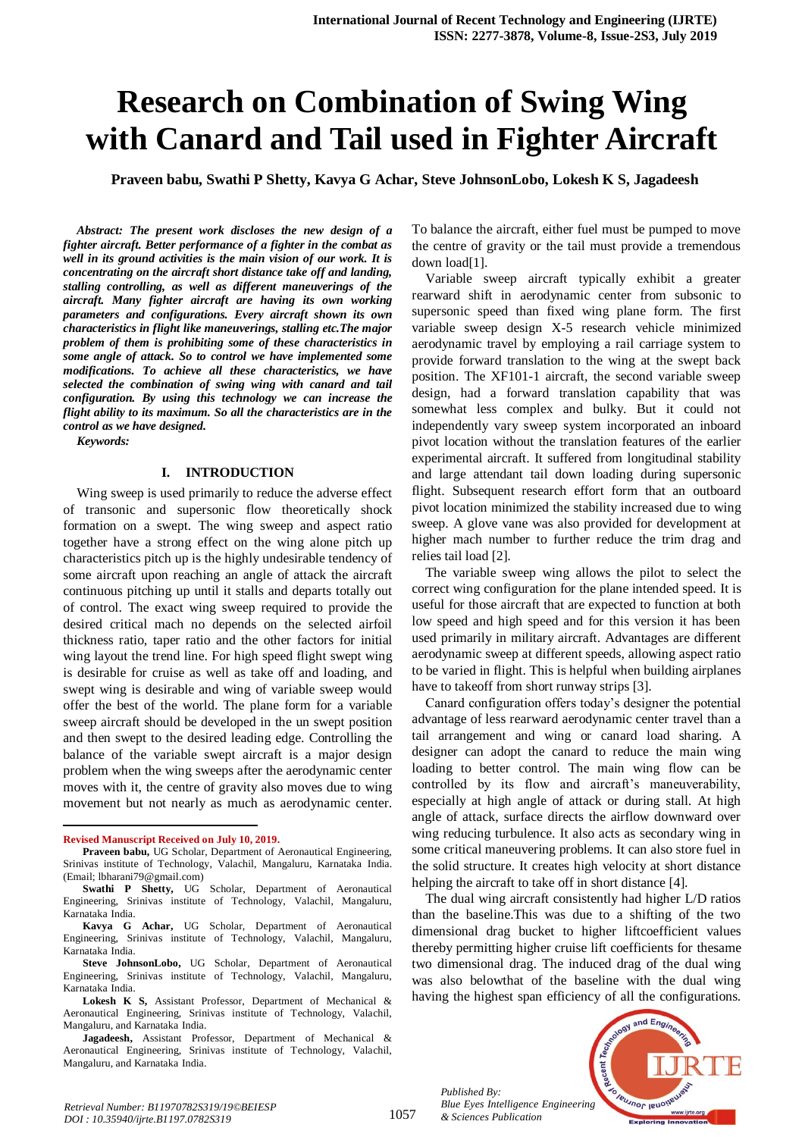# **Research on Combination of Swing Wing with Canard and Tail used in Fighter Aircraft**

**Praveen babu, Swathi P Shetty, Kavya G Achar, Steve JohnsonLobo, Lokesh K S, Jagadeesh**

*Abstract: The present work discloses the new design of a fighter aircraft. Better performance of a fighter in the combat as well in its ground activities is the main vision of our work. It is concentrating on the aircraft short distance take off and landing, stalling controlling, as well as different maneuverings of the aircraft. Many fighter aircraft are having its own working parameters and configurations. Every aircraft shown its own characteristics in flight like maneuverings, stalling etc.The major problem of them is prohibiting some of these characteristics in some angle of attack. So to control we have implemented some modifications. To achieve all these characteristics, we have selected the combination of swing wing with canard and tail configuration. By using this technology we can increase the flight ability to its maximum. So all the characteristics are in the control as we have designed.*

*Keywords:* 

#### **I. INTRODUCTION**

Wing sweep is used primarily to reduce the adverse effect of transonic and supersonic flow theoretically shock formation on a swept. The wing sweep and aspect ratio together have a strong effect on the wing alone pitch up characteristics pitch up is the highly undesirable tendency of some aircraft upon reaching an angle of attack the aircraft continuous pitching up until it stalls and departs totally out of control. The exact wing sweep required to provide the desired critical mach no depends on the selected airfoil thickness ratio, taper ratio and the other factors for initial wing layout the trend line. For high speed flight swept wing is desirable for cruise as well as take off and loading, and swept wing is desirable and wing of variable sweep would offer the best of the world. The plane form for a variable sweep aircraft should be developed in the un swept position and then swept to the desired leading edge. Controlling the balance of the variable swept aircraft is a major design problem when the wing sweeps after the aerodynamic center moves with it, the centre of gravity also moves due to wing movement but not nearly as much as aerodynamic center.

 $\overline{a}$ 

To balance the aircraft, either fuel must be pumped to move the centre of gravity or the tail must provide a tremendous down load[1].

Variable sweep aircraft typically exhibit a greater rearward shift in aerodynamic center from subsonic to supersonic speed than fixed wing plane form. The first variable sweep design X-5 research vehicle minimized aerodynamic travel by employing a rail carriage system to provide forward translation to the wing at the swept back position. The XF101-1 aircraft, the second variable sweep design, had a forward translation capability that was somewhat less complex and bulky. But it could not independently vary sweep system incorporated an inboard pivot location without the translation features of the earlier experimental aircraft. It suffered from longitudinal stability and large attendant tail down loading during supersonic flight. Subsequent research effort form that an outboard pivot location minimized the stability increased due to wing sweep. A glove vane was also provided for development at higher mach number to further reduce the trim drag and relies tail load [2].

The variable sweep wing allows the pilot to select the correct wing configuration for the plane intended speed. It is useful for those aircraft that are expected to function at both low speed and high speed and for this version it has been used primarily in military aircraft. Advantages are different aerodynamic sweep at different speeds, allowing aspect ratio to be varied in flight. This is helpful when building airplanes have to takeoff from short runway strips [3].

Canard configuration offers today's designer the potential advantage of less rearward aerodynamic center travel than a tail arrangement and wing or canard load sharing. A designer can adopt the canard to reduce the main wing loading to better control. The main wing flow can be controlled by its flow and aircraft's maneuverability, especially at high angle of attack or during stall. At high angle of attack, surface directs the airflow downward over wing reducing turbulence. It also acts as secondary wing in some critical maneuvering problems. It can also store fuel in the solid structure. It creates high velocity at short distance helping the aircraft to take off in short distance [4].

The dual wing aircraft consistently had higher L/D ratios than the baseline.This was due to a shifting of the two dimensional drag bucket to higher liftcoefficient values thereby permitting higher cruise lift coefficients for thesame two dimensional drag. The induced drag of the dual wing was also belowthat of the baseline with the dual wing having the highest span efficiency of all the configurations.



*Retrieval Number: B11970782S319/19©BEIESP DOI : 10.35940/ijrte.B1197.0782S319*

*Published By:*

*& Sciences Publication* 

**Revised Manuscript Received on July 10, 2019.**

**Praveen babu,** UG Scholar, Department of Aeronautical Engineering, Srinivas institute of Technology, Valachil, Mangaluru, Karnataka India. (Email; lbharani79@gmail.com)

**Swathi P Shetty,** UG Scholar, Department of Aeronautical Engineering, Srinivas institute of Technology, Valachil, Mangaluru, Karnataka India.

**Kavya G Achar,** UG Scholar, Department of Aeronautical Engineering, Srinivas institute of Technology, Valachil, Mangaluru, Karnataka India.

**Steve JohnsonLobo,** UG Scholar, Department of Aeronautical Engineering, Srinivas institute of Technology, Valachil, Mangaluru, Karnataka India.

**Lokesh K S,** Assistant Professor, Department of Mechanical & Aeronautical Engineering, Srinivas institute of Technology, Valachil, Mangaluru, and Karnataka India.

**Jagadeesh,** Assistant Professor, Department of Mechanical & Aeronautical Engineering, Srinivas institute of Technology, Valachil, Mangaluru, and Karnataka India.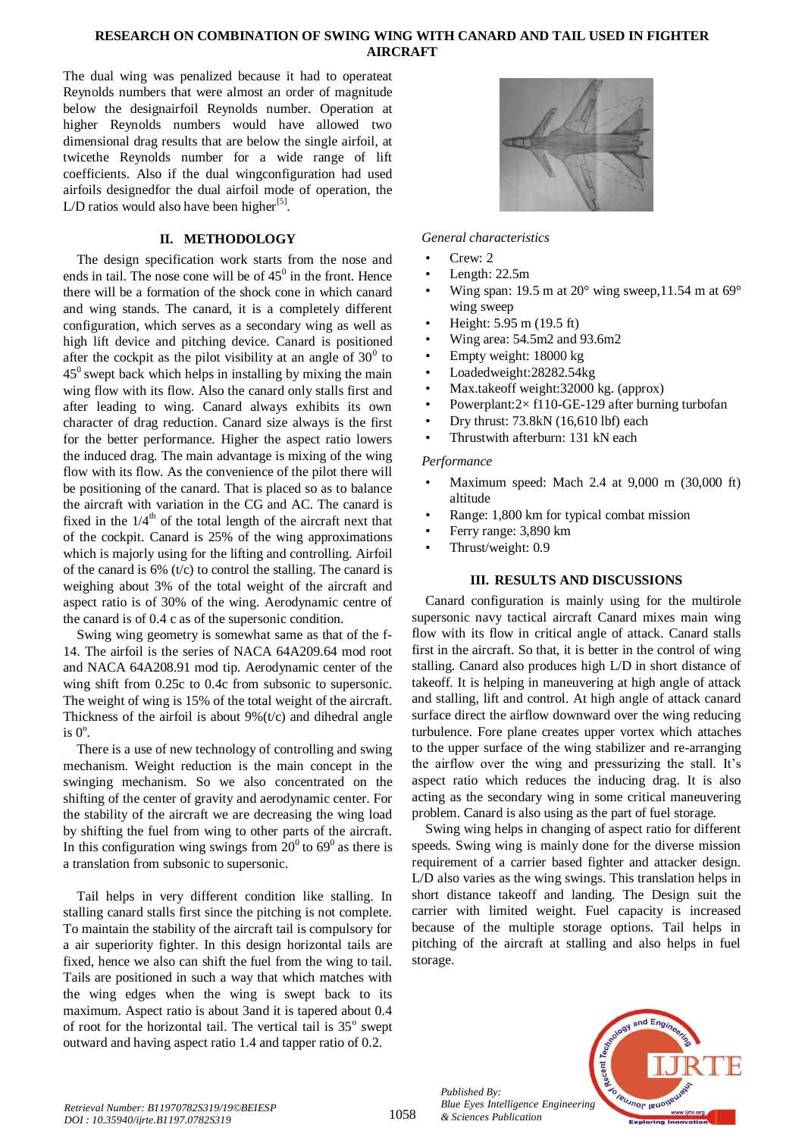### **RESEARCH ON COMBINATION OF SWING WING WITH CANARD AND TAIL USED IN FIGHTER AIRCRAFT**

The dual wing was penalized because it had to operateat Reynolds numbers that were almost an order of magnitude below the designairfoil Reynolds number. Operation at higher Reynolds numbers would have allowed two dimensional drag results that are below the single airfoil, at twicethe Reynolds number for a wide range of lift coefficients. Also if the dual wingconfiguration had used airfoils designedfor the dual airfoil mode of operation, the L/D ratios would also have been higher $^{[5]}$ .

# **II. METHODOLOGY**

The design specification work starts from the nose and ends in tail. The nose cone will be of  $45^{\circ}$  in the front. Hence there will be a formation of the shock cone in which canard and wing stands. The canard, it is a completely different configuration, which serves as a secondary wing as well as high lift device and pitching device. Canard is positioned after the cockpit as the pilot visibility at an angle of  $30^{\circ}$  to  $45^{\circ}$  swept back which helps in installing by mixing the main wing flow with its flow. Also the canard only stalls first and after leading to wing. Canard always exhibits its own character of drag reduction. Canard size always is the first for the better performance. Higher the aspect ratio lowers the induced drag. The main advantage is mixing of the wing flow with its flow. As the convenience of the pilot there will be positioning of the canard. That is placed so as to balance the aircraft with variation in the CG and AC. The canard is fixed in the  $1/4<sup>th</sup>$  of the total length of the aircraft next that of the cockpit. Canard is 25% of the wing approximations which is majorly using for the lifting and controlling. Airfoil of the canard is  $6\%$  (t/c) to control the stalling. The canard is weighing about 3% of the total weight of the aircraft and aspect ratio is of 30% of the wing. Aerodynamic centre of the canard is of 0.4 c as of the supersonic condition.

Swing wing geometry is somewhat same as that of the f-14. The airfoil is the series of NACA 64A209.64 mod root and NACA 64A208.91 mod tip. Aerodynamic center of the wing shift from 0.25c to 0.4c from subsonic to supersonic. The weight of wing is 15% of the total weight of the aircraft. Thickness of the airfoil is about  $9\%$  (t/c) and dihedral angle is  $0^\circ$ .

There is a use of new technology of controlling and swing mechanism. Weight reduction is the main concept in the swinging mechanism. So we also concentrated on the shifting of the center of gravity and aerodynamic center. For the stability of the aircraft we are decreasing the wing load by shifting the fuel from wing to other parts of the aircraft. In this configuration wing swings from  $20^{\circ}$  to  $69^{\circ}$  as there is a translation from subsonic to supersonic.

Tail helps in very different condition like stalling. In stalling canard stalls first since the pitching is not complete. To maintain the stability of the aircraft tail is compulsory for a air superiority fighter. In this design horizontal tails are fixed, hence we also can shift the fuel from the wing to tail. Tails are positioned in such a way that which matches with the wing edges when the wing is swept back to its maximum. Aspect ratio is about 3and it is tapered about 0.4 of root for the horizontal tail. The vertical tail is  $35^\circ$  swept outward and having aspect ratio 1.4 and tapper ratio of 0.2.



#### *General characteristics*

- Crew<sup>.</sup> 2
- Length:  $22.5m$
- Wing span: 19.5 m at  $20^{\circ}$  wing sweep, 11.54 m at  $69^{\circ}$ wing sweep
- Height: 5.95 m (19.5 ft)
- Wing area: 54.5m2 and 93.6m2
- Empty weight: 18000 kg
- Loadedweight:28282.54kg
- Max.takeoff weight:32000 kg. (approx)
- Powerplant: $2 \times$  f110-GE-129 after burning turbofan
- Dry thrust: 73.8kN (16,610 lbf) each
- Thrustwith afterburn: 131 kN each

#### *Performance*

- Maximum speed: Mach 2.4 at 9,000 m (30,000 ft) altitude
- Range: 1,800 km for typical combat mission
- Ferry range: 3,890 km
- Thrust/weight: 0.9

### **III. RESULTS AND DISCUSSIONS**

Canard configuration is mainly using for the multirole supersonic navy tactical aircraft Canard mixes main wing flow with its flow in critical angle of attack. Canard stalls first in the aircraft. So that, it is better in the control of wing stalling. Canard also produces high L/D in short distance of takeoff. It is helping in maneuvering at high angle of attack and stalling, lift and control. At high angle of attack canard surface direct the airflow downward over the wing reducing turbulence. Fore plane creates upper vortex which attaches to the upper surface of the wing stabilizer and re-arranging the airflow over the wing and pressurizing the stall. It's aspect ratio which reduces the inducing drag. It is also acting as the secondary wing in some critical maneuvering problem. Canard is also using as the part of fuel storage.

Swing wing helps in changing of aspect ratio for different speeds. Swing wing is mainly done for the diverse mission requirement of a carrier based fighter and attacker design. L/D also varies as the wing swings. This translation helps in short distance takeoff and landing. The Design suit the carrier with limited weight. Fuel capacity is increased because of the multiple storage options. Tail helps in pitching of the aircraft at stalling and also helps in fuel storage.



*Published By:*

*& Sciences Publication*